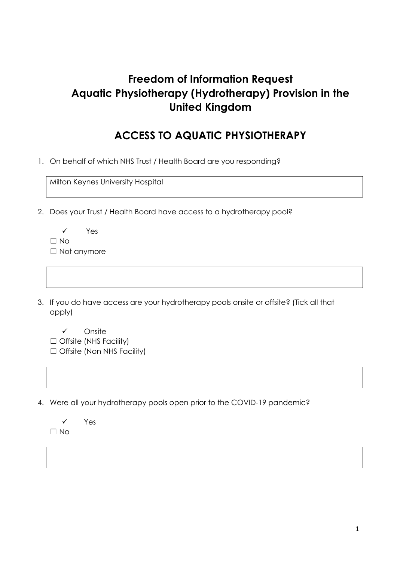# **Freedom of Information Request Aquatic Physiotherapy (Hydrotherapy) Provision in the United Kingdom**

### **ACCESS TO AQUATIC PHYSIOTHERAPY**

1. On behalf of which NHS Trust / Health Board are you responding?

Milton Keynes University Hospital

- 2. Does your Trust / Health Board have access to a hydrotherapy pool?
	- ✓ Yes ☐ No ☐ Not anymore
- 3. If you do have access are your hydrotherapy pools onsite or offsite? (Tick all that apply)

✓ Onsite

- □ Offsite (NHS Facility)
- □ Offsite (Non NHS Facility)
- 4. Were all your hydrotherapy pools open prior to the COVID-19 pandemic?
	- ✓ Yes  $\Box$  No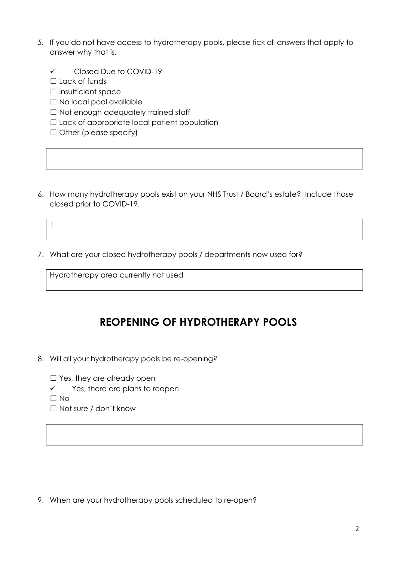- *5.* If you do not have access to hydrotherapy pools, please tick all answers that apply to answer why that is.
	- ✓ Closed Due to COVID-19
	- $\Box$  Lack of funds
	- ☐ Insufficient space
	- □ No local pool available
	- □ Not enough adequately trained staff
	- ☐ Lack of appropriate local patient population
	- □ Other (please specify)
- 6. How many hydrotherapy pools exist on your NHS Trust / Board's estate? Include those closed prior to COVID-19.

1

7. What are your closed hydrotherapy pools / departments now used for?

Hydrotherapy area currently not used

#### **REOPENING OF HYDROTHERAPY POOLS**

8. Will all your hydrotherapy pools be re-opening?

□ Yes, they are already open

✓ Yes, there are plans to reopen

 $\Box$  No

☐ Not sure / don't know

9. When are your hydrotherapy pools scheduled to re-open?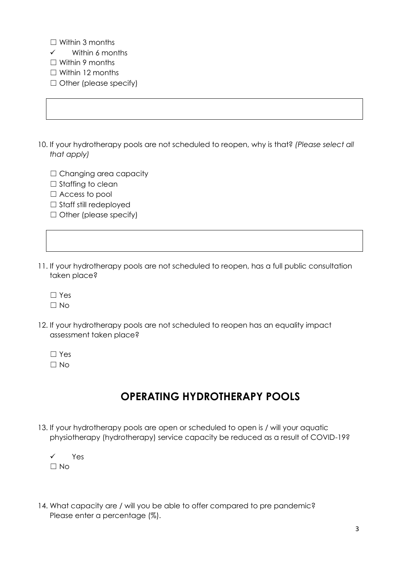- $\Box$  Within 3 months
- ✓ Within 6 months
- ☐ Within 9 months
- ☐ Within 12 months
- □ Other (please specify)
- 10. If your hydrotherapy pools are not scheduled to reopen, why is that? *(Please select all that apply)*
	- □ Changing area capacity
	- □ Staffing to clean
	- □ Access to pool
	- □ Staff still redeployed
	- ☐ Other (please specify)
- 11. If your hydrotherapy pools are not scheduled to reopen, has a full public consultation taken place?
	- ☐ Yes
	- $\Box$  No
- 12. If your hydrotherapy pools are not scheduled to reopen has an equality impact assessment taken place?
	- ☐ Yes  $\Box$  No
	-

## **OPERATING HYDROTHERAPY POOLS**

- 13. If your hydrotherapy pools are open or scheduled to open is / will your aquatic physiotherapy (hydrotherapy) service capacity be reduced as a result of COVID-19?
	- ✓ Yes  $\Box$  No
- 14. What capacity are / will you be able to offer compared to pre pandemic? Please enter a percentage (%).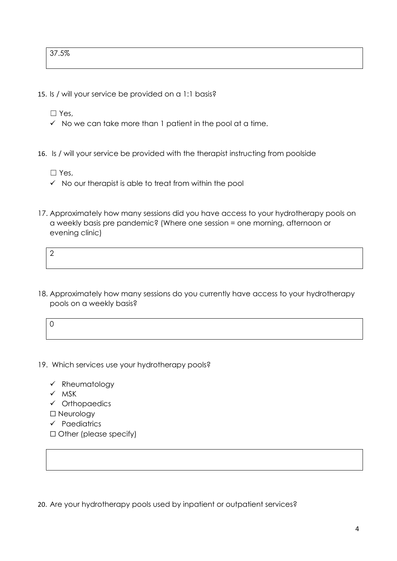- 15. Is / will your service be provided on a 1:1 basis?
	- ☐ Yes,
	- $\checkmark$  No we can take more than 1 patient in the pool at a time.
- 16. Is / will your service be provided with the therapist instructing from poolside
	- ☐ Yes,
	- $\checkmark$  No our therapist is able to treat from within the pool
- 17. Approximately how many sessions did you have access to your hydrotherapy pools on a weekly basis pre pandemic? (Where one session = one morning, afternoon or evening clinic)
	- $\mathcal{L}$
- 18. Approximately how many sessions do you currently have access to your hydrotherapy pools on a weekly basis?

$$
0 \qquad \qquad 0
$$

- 19. Which services use your hydrotherapy pools?
	- ✓ Rheumatology
	- ✓ MSK
	- ✓ Orthopaedics
	- ☐ Neurology
	- ✓ Paediatrics
	- ☐ Other (please specify)

20. Are your hydrotherapy pools used by inpatient or outpatient services?